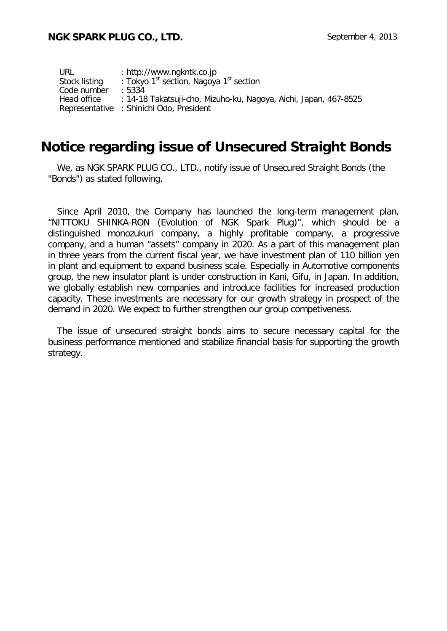| URL           | : http://www.ngkntk.co.jp                                        |  |
|---------------|------------------------------------------------------------------|--|
| Stock listing | : Tokyo 1 <sup>st</sup> section, Nagoya 1 <sup>st</sup> section  |  |
| Code number   | .5334                                                            |  |
| Head office   | : 14-18 Takatsuji-cho, Mizuho-ku, Nagoya, Aichi, Japan, 467-8525 |  |
|               | Representative : Shinichi Odo, President                         |  |

## **Notice regarding issue of Unsecured Straight Bonds**

We, as NGK SPARK PLUG CO., LTD., notify issue of Unsecured Straight Bonds (the "Bonds") as stated following.

Since April 2010, the Company has launched the long-term management plan, "NITTOKU SHINKA-RON (Evolution of NGK Spark Plug)", which should be a distinguished monozukuri company, a highly profitable company, a progressive company, and a human "assets" company in 2020. As a part of this management plan in three years from the current fiscal year, we have investment plan of 110 billion yen in plant and equipment to expand business scale. Especially in Automotive components group, the new insulator plant is under construction in Kani, Gifu, in Japan. In addition, we globally establish new companies and introduce facilities for increased production capacity. These investments are necessary for our growth strategy in prospect of the demand in 2020. We expect to further strengthen our group competiveness.

The issue of unsecured straight bonds aims to secure necessary capital for the business performance mentioned and stabilize financial basis for supporting the growth strategy.